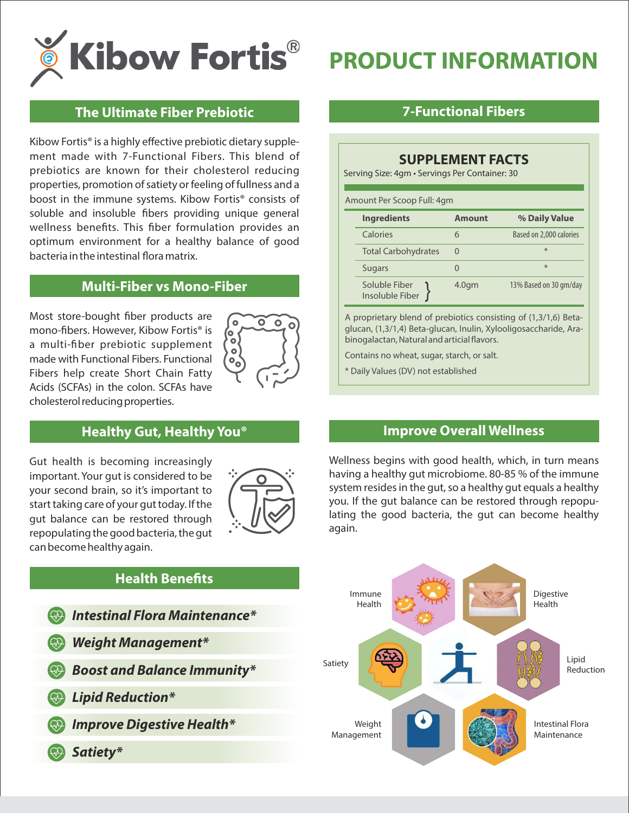

# **PRODUCT INFORMATION**

#### **The Ultimate Fiber Prebiotic**

Kibow Fortis® is a highly effective prebiotic dietary supplement made with 7-Functional Fibers. This blend of prebiotics are known for their cholesterol reducing properties, promotion of satiety or feeling of fullness and a boost in the immune systems. Kibow Fortis® consists of soluble and insoluble fibers providing unique general wellness benefits. This fiber formulation provides an optimum environment for a healthy balance of good bacteria in the intestinal flora matrix.

#### **Multi-Fiber vs Mono-Fiber**

Most store-bought fiber products are mono-fibers. However, Kibow Fortis<sup>®</sup> is a multi-fiber prebiotic supplement made with Functional Fibers. Functional Fibers help create Short Chain Fatty Acids (SCFAs) in the colon. SCFAs have cholesterol reducing properties.



# **Healthy Gut, Healthy You®**

Gut health is becoming increasingly important. Your gut is considered to be your second brain, so it's important to start taking care of your gut today. If the gut balance can be restored through repopulating the good bacteria, the gut can become healthy again.



#### **7-Functional Fibers**

#### **SUPPLEMENT FACTS**

Serving Size: 4gm • Servings Per Container: 30

| Amount Per Scoop Full: 4gm |                                  |                  |                         |
|----------------------------|----------------------------------|------------------|-------------------------|
|                            | <b>Ingredients</b>               | <b>Amount</b>    | % Daily Value           |
|                            | Calories                         | 6                | Based on 2,000 calories |
|                            | <b>Total Carbohydrates</b>       | $\Omega$         | $*$                     |
|                            | <b>Sugars</b>                    |                  | $*$                     |
|                            | Soluble Fiber<br>Insoluble Fiber | 4.0 <sub>q</sub> | 13% Based on 30 gm/day  |

A proprietary blend of prebiotics consisting of (1,3/1,6) Betaglucan, (1,3/1,4) Beta-glucan, Inulin, Xylooligosaccharide, Arabinogalactan, Natural and articial flavors.

Contains no wheat, sugar, starch, or salt.

\* Daily Values (DV) not established

#### **Improve Overall Wellness**

Wellness begins with good health, which, in turn means having a healthy gut microbiome. 80-85 % of the immune system resides in the gut, so a healthy gut equals a healthy you. If the gut balance can be restored through repopulating the good bacteria, the gut can become healthy again.



#### **Health Benefits**

| <b>We Intestinal Flora Maintenance*</b> |
|-----------------------------------------|
| Weight Management*                      |
| <b>Boost and Balance Immunity*</b>      |
| <b>W</b> Lipid Reduction*               |
| Memore Digestive Health*                |
| <b>Example 13 Satiety*</b>              |